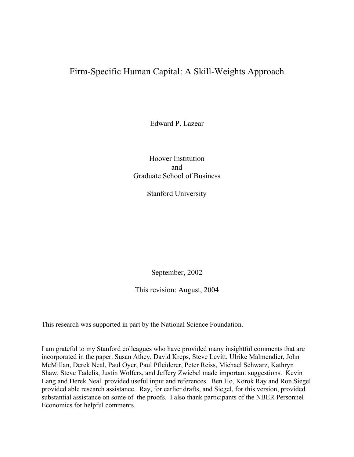# Firm-Specific Human Capital: A Skill-Weights Approach

Edward P. Lazear

Hoover Institution and Graduate School of Business

Stanford University

September, 2002

This revision: August, 2004

This research was supported in part by the National Science Foundation.

I am grateful to my Stanford colleagues who have provided many insightful comments that are incorporated in the paper. Susan Athey, David Kreps, Steve Levitt, Ulrike Malmendier, John McMillan, Derek Neal, Paul Oyer, Paul Pfleiderer, Peter Reiss, Michael Schwarz, Kathryn Shaw, Steve Tadelis, Justin Wolfers, and Jeffery Zwiebel made important suggestions. Kevin Lang and Derek Neal provided useful input and references. Ben Ho, Korok Ray and Ron Siegel provided able research assistance. Ray, for earlier drafts, and Siegel, for this version, provided substantial assistance on some of the proofs. I also thank participants of the NBER Personnel Economics for helpful comments.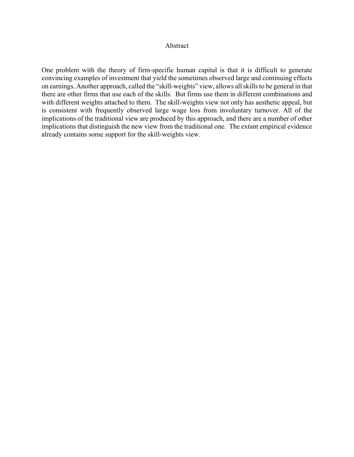#### Abstract

One problem with the theory of firm-specific human capital is that it is difficult to generate convincing examples of investment that yield the sometimes observed large and continuing effects on earnings. Another approach, called the "skill-weights" view, allows all skills to be general in that there are other firms that use each of the skills. But firms use them in different combinations and with different weights attached to them. The skill-weights view not only has aesthetic appeal, but is consistent with frequently observed large wage loss from involuntary turnover. All of the implications of the traditional view are produced by this approach, and there are a number of other implications that distinguish the new view from the traditional one. The extant empirical evidence already contains some support for the skill-weights view.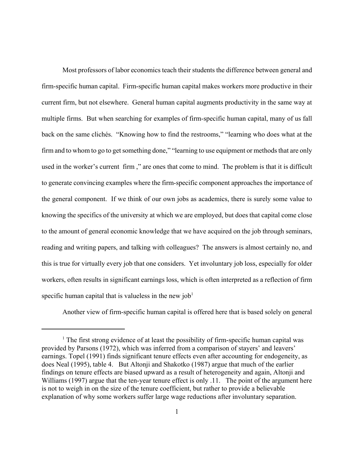Most professors of labor economics teach their students the difference between general and firm-specific human capital. Firm-specific human capital makes workers more productive in their current firm, but not elsewhere. General human capital augments productivity in the same way at multiple firms. But when searching for examples of firm-specific human capital, many of us fall back on the same clichés. "Knowing how to find the restrooms," "learning who does what at the firm and to whom to go to get something done," "learning to use equipment or methods that are only used in the worker's current firm ," are ones that come to mind. The problem is that it is difficult to generate convincing examples where the firm-specific component approaches the importance of the general component. If we think of our own jobs as academics, there is surely some value to knowing the specifics of the university at which we are employed, but does that capital come close to the amount of general economic knowledge that we have acquired on the job through seminars, reading and writing papers, and talking with colleagues? The answers is almost certainly no, and this is true for virtually every job that one considers. Yet involuntary job loss, especially for older workers, often results in significant earnings loss, which is often interpreted as a reflection of firm specific human capital that is valueless in the new  $job<sup>1</sup>$ 

Another view of firm-specific human capital is offered here that is based solely on general

<sup>&</sup>lt;sup>1</sup> The first strong evidence of at least the possibility of firm-specific human capital was provided by Parsons (1972), which was inferred from a comparison of stayers' and leavers' earnings. Topel (1991) finds significant tenure effects even after accounting for endogeneity, as does Neal (1995), table 4. But Altonji and Shakotko (1987) argue that much of the earlier findings on tenure effects are biased upward as a result of heterogeneity and again, Altonji and Williams (1997) argue that the ten-year tenure effect is only .11. The point of the argument here is not to weigh in on the size of the tenure coefficient, but rather to provide a believable explanation of why some workers suffer large wage reductions after involuntary separation.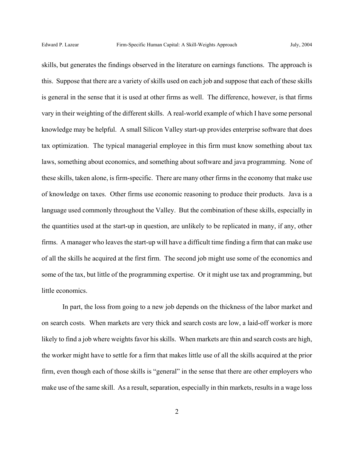skills, but generates the findings observed in the literature on earnings functions. The approach is this. Suppose that there are a variety of skills used on each job and suppose that each of these skills is general in the sense that it is used at other firms as well. The difference, however, is that firms vary in their weighting of the different skills. A real-world example of which I have some personal knowledge may be helpful. A small Silicon Valley start-up provides enterprise software that does tax optimization. The typical managerial employee in this firm must know something about tax laws, something about economics, and something about software and java programming. None of these skills, taken alone, is firm-specific. There are many other firms in the economy that make use of knowledge on taxes. Other firms use economic reasoning to produce their products. Java is a language used commonly throughout the Valley. But the combination of these skills, especially in the quantities used at the start-up in question, are unlikely to be replicated in many, if any, other firms. A manager who leaves the start-up will have a difficult time finding a firm that can make use of all the skills he acquired at the first firm. The second job might use some of the economics and some of the tax, but little of the programming expertise. Or it might use tax and programming, but little economics.

In part, the loss from going to a new job depends on the thickness of the labor market and on search costs. When markets are very thick and search costs are low, a laid-off worker is more likely to find a job where weights favor his skills. When markets are thin and search costs are high, the worker might have to settle for a firm that makes little use of all the skills acquired at the prior firm, even though each of those skills is "general" in the sense that there are other employers who make use of the same skill. As a result, separation, especially in thin markets, results in a wage loss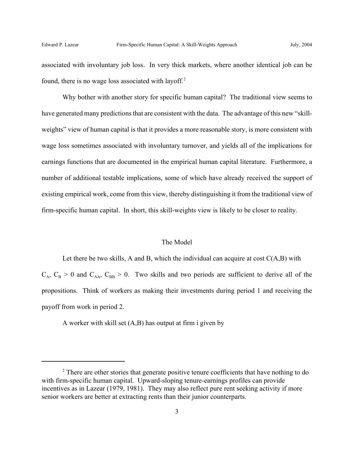associated with involuntary job loss. In very thick markets, where another identical job can be found, there is no wage loss associated with layoff.<sup>2</sup>

Why bother with another story for specific human capital? The traditional view seems to have generated many predictions that are consistent with the data. The advantage of this new "skillweights" view of human capital is that it provides a more reasonable story, is more consistent with wage loss sometimes associated with involuntary turnover, and yields all of the implications for earnings functions that are documented in the empirical human capital literature. Furthermore, a number of additional testable implications, some of which have already received the support of existing empirical work, come from this view, thereby distinguishing it from the traditional view of firm-specific human capital. In short, this skill-weights view is likely to be closer to reality.

#### The Model

Let there be two skills, A and B, which the individual can acquire at cost  $C(A,B)$  with  $C_A$ ,  $C_B > 0$  and  $C_{AA}$ ,  $C_{BB} > 0$ . Two skills and two periods are sufficient to derive all of the propositions. Think of workers as making their investments during period 1 and receiving the payoff from work in period 2.

A worker with skill set (A,B) has output at firm i given by

 $2<sup>2</sup>$  There are other stories that generate positive tenure coefficients that have nothing to do with firm-specific human capital. Upward-sloping tenure-earnings profiles can provide incentives as in Lazear (1979, 1981). They may also reflect pure rent seeking activity if more senior workers are better at extracting rents than their junior counterparts.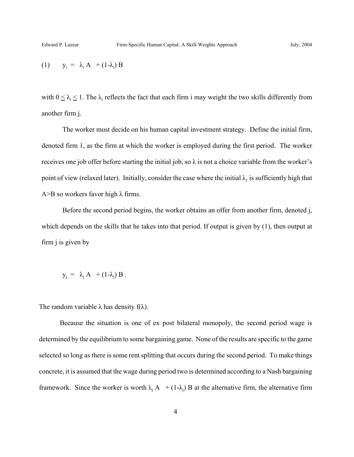$$
(1) \qquad y_i = \lambda_i A + (1 - \lambda_i) B
$$

with  $0 \leq \lambda_i \leq 1$ . The  $\lambda_i$  reflects the fact that each firm i may weight the two skills differently from another firm j.

The worker must decide on his human capital investment strategy. Define the initial firm, denoted firm 1, as the firm at which the worker is employed during the first period. The worker receives one job offer before starting the initial job, so  $\lambda$  is not a choice variable from the worker's point of view (relaxed later). Initially, consider the case where the initial  $\lambda_1$  is sufficiently high that A > B so workers favor high  $\lambda$  firms.

Before the second period begins, the worker obtains an offer from another firm, denoted j, which depends on the skills that he takes into that period. If output is given by (1), then output at firm j is given by

$$
y_j = \lambda_j A + (1-\lambda_j) B.
$$

The random variable  $\lambda$  has density f( $\lambda$ ).

Because the situation is one of ex post bilateral monopoly, the second period wage is determined by the equilibrium to some bargaining game. None of the results are specific to the game selected so long as there is some rent splitting that occurs during the second period. To make things concrete, it is assumed that the wage during period two is determined according to a Nash bargaining framework. Since the worker is worth  $\lambda_j$  A  $+ (1-\lambda_j)$  B at the alternative firm, the alternative firm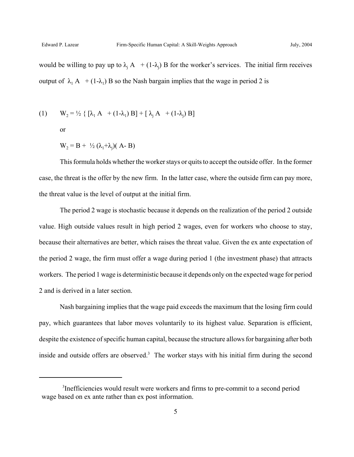would be willing to pay up to  $\lambda_j A + (1-\lambda_j) B$  for the worker's services. The initial firm receives output of  $\lambda_1$  A + (1- $\lambda_1$ ) B so the Nash bargain implies that the wage in period 2 is

(1) 
$$
W_2 = \frac{1}{2} \{ [\lambda_1 A + (1 - \lambda_1) B] + [\lambda_1 A + (1 - \lambda_1) B]
$$

or

$$
W_2 = B + \frac{1}{2} (\lambda_1 + \lambda_j) (A - B)
$$

This formula holds whether the worker stays or quits to accept the outside offer. In the former case, the threat is the offer by the new firm. In the latter case, where the outside firm can pay more, the threat value is the level of output at the initial firm.

The period 2 wage is stochastic because it depends on the realization of the period 2 outside value. High outside values result in high period 2 wages, even for workers who choose to stay, because their alternatives are better, which raises the threat value. Given the ex ante expectation of the period 2 wage, the firm must offer a wage during period 1 (the investment phase) that attracts workers. The period 1 wage is deterministic because it depends only on the expected wage for period 2 and is derived in a later section.

Nash bargaining implies that the wage paid exceeds the maximum that the losing firm could pay, which guarantees that labor moves voluntarily to its highest value. Separation is efficient, despite the existence of specific human capital, because the structure allows for bargaining after both inside and outside offers are observed.<sup>3</sup> The worker stays with his initial firm during the second

<sup>&</sup>lt;sup>3</sup>Inefficiencies would result were workers and firms to pre-commit to a second period wage based on ex ante rather than ex post information.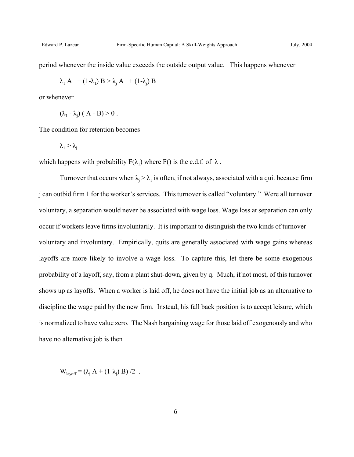period whenever the inside value exceeds the outside output value. This happens whenever

$$
\lambda_1 A + (1 - \lambda_1) B > \lambda_j A + (1 - \lambda_j) B
$$

or whenever

$$
(\lambda_1 - \lambda_j) (A - B) > 0.
$$

The condition for retention becomes

$$
\lambda_i > \lambda_j
$$

which happens with probability  $F(\lambda_1)$  where  $F(\lambda)$  is the c.d.f. of  $\lambda$ .

Turnover that occurs when  $\lambda_j > \lambda_1$  is often, if not always, associated with a quit because firm j can outbid firm 1 for the worker's services. This turnover is called "voluntary." Were all turnover voluntary, a separation would never be associated with wage loss. Wage loss at separation can only occur if workers leave firms involuntarily. It is important to distinguish the two kinds of turnover - voluntary and involuntary. Empirically, quits are generally associated with wage gains whereas layoffs are more likely to involve a wage loss. To capture this, let there be some exogenous probability of a layoff, say, from a plant shut-down, given by q. Much, if not most, of this turnover shows up as layoffs. When a worker is laid off, he does not have the initial job as an alternative to discipline the wage paid by the new firm. Instead, his fall back position is to accept leisure, which is normalized to have value zero. The Nash bargaining wage for those laid off exogenously and who have no alternative job is then

$$
W_{\text{layerff}} = (\lambda_j A + (1-\lambda_j) B) / 2.
$$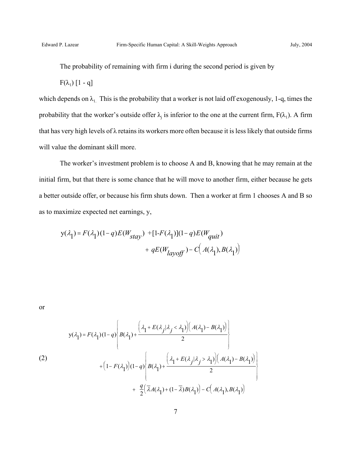The probability of remaining with firm i during the second period is given by

 $F(\lambda_1)$  [1 - q]

which depends on  $\lambda_1$ . This is the probability that a worker is not laid off exogenously, 1-q, times the probability that the worker's outside offer  $\lambda_j$  is inferior to the one at the current firm,  $F(\lambda_1)$ . A firm that has very high levels of λ retains its workers more often because it is less likely that outside firms will value the dominant skill more.

The worker's investment problem is to choose A and B, knowing that he may remain at the initial firm, but that there is some chance that he will move to another firm, either because he gets a better outside offer, or because his firm shuts down. Then a worker at firm 1 chooses A and B so as to maximize expected net earnings, y,

$$
y(\lambda_1) = F(\lambda_1)(1-q)E(W_{stay}) + [1-F(\lambda_1)](1-q)E(W_{quit})
$$
  
+  $qE(W_{layoff}) - C(A(\lambda_1), B(\lambda_1))$ 

or

(2)  

$$
y(\lambda_1) = F(\lambda_1)(1-q) \left\{ B(\lambda_1) + \frac{\left(\lambda_1 + E(\lambda_j | \lambda_j < \lambda_1)\right) \left(A(\lambda_1) - B(\lambda_1)\right)}{2} \right\}
$$

$$
+ \left(1 - F(\lambda_1)\right)(1-q) \left\{ B(\lambda_1) + \frac{\left(\lambda_1 + E(\lambda_j | \lambda_j > \lambda_1)\right) \left(A(\lambda_1) - B(\lambda_1)\right)}{2} \right\}
$$

$$
+ \frac{q}{2} \left( \bar{\lambda} A(\lambda_1) + (1 - \bar{\lambda}) B(\lambda_1) \right) - C \left( A(\lambda_1), B(\lambda_1) \right)
$$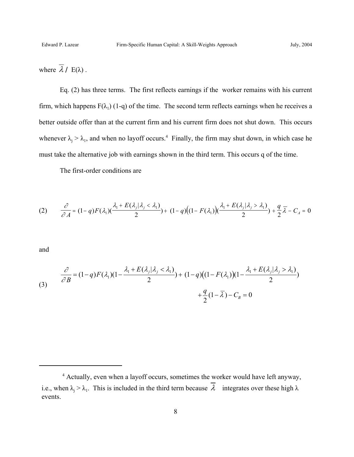where  $\overline{\lambda}$  / E( $\lambda$ ).

Eq. (2) has three terms. The first reflects earnings if the worker remains with his current firm, which happens  $F(\lambda_1)$  (1-q) of the time. The second term reflects earnings when he receives a better outside offer than at the current firm and his current firm does not shut down. This occurs whenever  $\lambda_j > \lambda_1$ , and when no layoff occurs.<sup>4</sup> Finally, the firm may shut down, in which case he must take the alternative job with earnings shown in the third term. This occurs q of the time.

The first-order conditions are

$$
(2) \qquad \frac{\partial}{\partial A} = (1-q)F(\lambda_1)\left(\frac{\lambda_1 + E(\lambda_j|\lambda_j < \lambda_1)}{2}\right) + (1-q)\left((1 - F(\lambda_1)\right)\left(\frac{\lambda_1 + E(\lambda_j|\lambda_j > \lambda_1)}{2}\right) + \frac{q}{2}\overline{\lambda} - C_A = 0
$$

and

(3) 
$$
\frac{\partial}{\partial B} = (1-q)F(\lambda_1)(1-\frac{\lambda_1+E(\lambda_j|\lambda_j<\lambda_1)}{2}) + (1-q)((1-F(\lambda_1))(1-\frac{\lambda_1+E(\lambda_j|\lambda_j>\lambda_1)}{2}) + \frac{q}{2}(1-\overline{\lambda})-C_B = 0
$$

<sup>&</sup>lt;sup>4</sup> Actually, even when a layoff occurs, sometimes the worker would have left anyway, i.e., when  $\lambda_j > \lambda_1$ . This is included in the third term because  $\lambda$  integrates over these high  $\lambda$ events.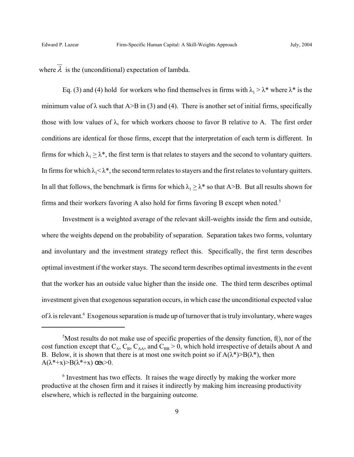where  $\overline{\lambda}$  is the (unconditional) expectation of lambda.

Eq. (3) and (4) hold for workers who find themselves in firms with  $\lambda_1 > \lambda^*$  where  $\lambda^*$  is the minimum value of  $\lambda$  such that A>B in (3) and (4). There is another set of initial firms, specifically those with low values of  $\lambda$ , for which workers choose to favor B relative to A. The first order conditions are identical for those firms, except that the interpretation of each term is different. In firms for which  $\lambda_1 > \lambda^*$ , the first term is that relates to stayers and the second to voluntary quitters. In firms for which  $\lambda_1 < \lambda^*$ , the second term relates to stayers and the first relates to voluntary quitters. In all that follows, the benchmark is firms for which  $\lambda_1 \geq \lambda^*$  so that A>B. But all results shown for firms and their workers favoring A also hold for firms favoring B except when noted.5

Investment is a weighted average of the relevant skill-weights inside the firm and outside, where the weights depend on the probability of separation. Separation takes two forms, voluntary and involuntary and the investment strategy reflect this. Specifically, the first term describes optimal investment if the worker stays. The second term describes optimal investments in the event that the worker has an outside value higher than the inside one. The third term describes optimal investment given that exogenous separation occurs, in which case the unconditional expected value of  $\lambda$  is relevant.<sup>6</sup> Exogenous separation is made up of turnover that is truly involuntary, where wages

 $5$ Most results do not make use of specific properties of the density function, f(), nor of the cost function except that  $C_A$ ,  $C_B$ ,  $C_{AA}$ , and  $C_{BB} > 0$ , which hold irrespective of details about A and B. Below, it is shown that there is at most one switch point so if  $A(\lambda^*)>B(\lambda^*)$ , then  $A(\lambda^*+x) > B(\lambda^*+x)$  cex $>0$ .

<sup>&</sup>lt;sup>6</sup> Investment has two effects. It raises the wage directly by making the worker more productive at the chosen firm and it raises it indirectly by making him increasing productivity elsewhere, which is reflected in the bargaining outcome.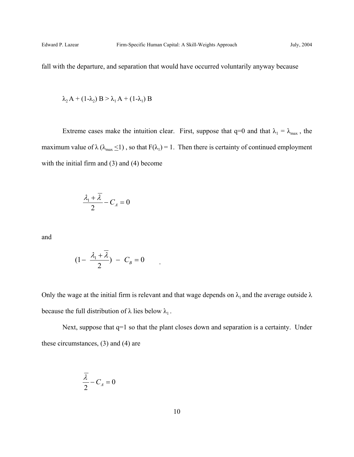fall with the departure, and separation that would have occurred voluntarily anyway because

$$
\lambda_2 A + (1-\lambda_2) B > \lambda_1 A + (1-\lambda_1) B
$$

Extreme cases make the intuition clear. First, suppose that  $q=0$  and that  $\lambda_1 = \lambda_{\text{max}}$ , the maximum value of  $\lambda$  ( $\lambda_{\text{max}} \le 1$ ), so that  $F(\lambda_1) = 1$ . Then there is certainty of continued employment with the initial firm and (3) and (4) become

$$
\frac{\lambda_1 + \lambda}{2} - C_A = 0
$$

and

$$
(1 - \frac{\lambda_1 + \overline{\lambda}}{2}) - C_B = 0
$$

Only the wage at the initial firm is relevant and that wage depends on  $\lambda_1$  and the average outside  $\lambda$ because the full distribution of  $\lambda$  lies below  $\lambda_1$ .

Next, suppose that  $q=1$  so that the plant closes down and separation is a certainty. Under these circumstances, (3) and (4) are

$$
\frac{\lambda}{2} - C_A = 0
$$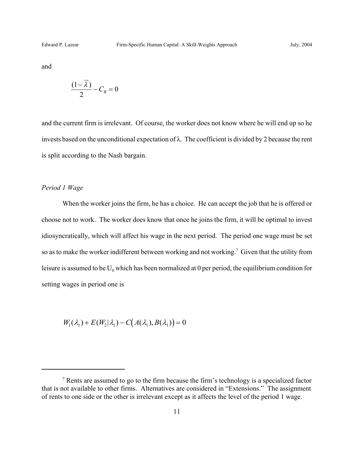and

$$
\frac{(1-\overline{\lambda})}{2} - C_B = 0
$$

and the current firm is irrelevant. Of course, the worker does not know where he will end up so he invests based on the unconditional expectation of λ. The coefficient is divided by 2 because the rent is split according to the Nash bargain.

## *Period 1 Wage*

When the worker joins the firm, he has a choice. He can accept the job that he is offered or choose not to work. The worker does know that once he joins the firm, it will be optimal to invest idiosyncratically, which will affect his wage in the next period. The period one wage must be set so as to make the worker indifferent between working and not working.<sup>7</sup> Given that the utility from leisure is assumed to be  $U_0$  which has been normalized at 0 per period, the equilibrium condition for setting wages in period one is

$$
W_1(\lambda_1) + E(W_2|\lambda_1) - C(A(\lambda_1), B(\lambda_1)) = 0
$$

 $<sup>7</sup>$  Rents are assumed to go to the firm because the firm's technology is a specialized factor</sup> that is not available to other firms. Alternatives are considered in "Extensions." The assignment of rents to one side or the other is irrelevant except as it affects the level of the period 1 wage.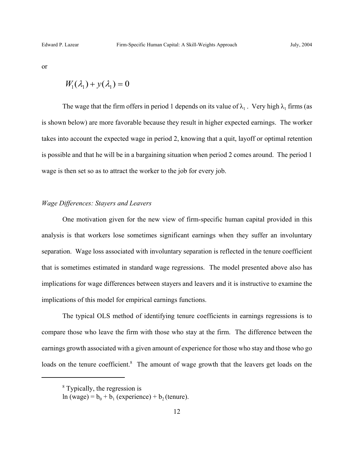or

$$
W_1(\lambda_1) + y(\lambda_1) = 0
$$

The wage that the firm offers in period 1 depends on its value of  $\lambda_1$ . Very high  $\lambda_1$  firms (as is shown below) are more favorable because they result in higher expected earnings. The worker takes into account the expected wage in period 2, knowing that a quit, layoff or optimal retention is possible and that he will be in a bargaining situation when period 2 comes around. The period 1 wage is then set so as to attract the worker to the job for every job.

## *Wage Differences: Stayers and Leavers*

One motivation given for the new view of firm-specific human capital provided in this analysis is that workers lose sometimes significant earnings when they suffer an involuntary separation. Wage loss associated with involuntary separation is reflected in the tenure coefficient that is sometimes estimated in standard wage regressions. The model presented above also has implications for wage differences between stayers and leavers and it is instructive to examine the implications of this model for empirical earnings functions.

The typical OLS method of identifying tenure coefficients in earnings regressions is to compare those who leave the firm with those who stay at the firm. The difference between the earnings growth associated with a given amount of experience for those who stay and those who go loads on the tenure coefficient.<sup>8</sup> The amount of wage growth that the leavers get loads on the

<sup>&</sup>lt;sup>8</sup> Typically, the regression is

 $\ln(wage) = b_0 + b_1$  (experience) + b<sub>2</sub> (tenure).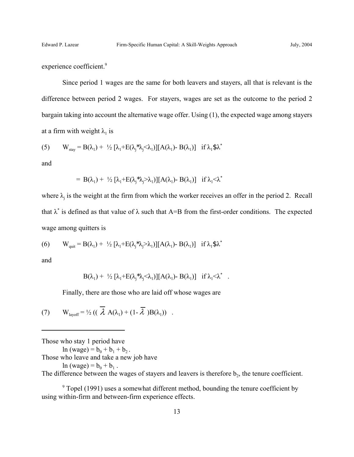experience coefficient.<sup>9</sup>

Since period 1 wages are the same for both leavers and stayers, all that is relevant is the difference between period 2 wages. For stayers, wages are set as the outcome to the period 2 bargain taking into account the alternative wage offer. Using (1), the expected wage among stayers at a firm with weight  $\lambda_1$  is

(5) 
$$
W_{\text{stay}} = B(\lambda_1) + \frac{1}{2} [\lambda_1 + E(\lambda_j^* \lambda_j \langle \lambda_1)] [A(\lambda_1) - B(\lambda_1)]
$$
 if  $\lambda_1 \text{ $} \text{ $} \lambda^*$ 

and

$$
= B(\lambda_1) + \frac{1}{2} [\lambda_1 + E(\lambda_j^* \lambda_j > \lambda_1)][A(\lambda_1) - B(\lambda_1)] \text{ if } \lambda_1 < \lambda^*
$$

where  $\lambda_j$  is the weight at the firm from which the worker receives an offer in the period 2. Recall that  $\lambda^*$  is defined as that value of  $\lambda$  such that A=B from the first-order conditions. The expected wage among quitters is

(6) 
$$
W_{\text{quit}} = B(\lambda_1) + \frac{1}{2} [\lambda_1 + E(\lambda_j^* \lambda_j > \lambda_1)][A(\lambda_1) - B(\lambda_1)]
$$
 if  $\lambda_1 \text{ s.t.}$ 

and

$$
B(\lambda_1) + \frac{1}{2} [\lambda_1 + E(\lambda_j \lambda_j \langle \lambda_1 \rangle)] [A(\lambda_1) - B(\lambda_1)] \text{ if } \lambda_1 \langle \lambda^* \ .
$$

Finally, there are those who are laid off whose wages are

(7) 
$$
W_{\text{layerff}} = \frac{1}{2} \left( \left( \lambda \mathbf{A}(\lambda_1) + (1 - \overline{\lambda}) \mathbf{B}(\lambda_1) \right) \right)
$$

Those who stay 1 period have

 $\ln(wage) = b_0 + b_1 + b_2$ .

Those who leave and take a new job have

 $ln (wage) = b_0 + b_1$ .

The difference between the wages of stayers and leavers is therefore  $b_2$ , the tenure coefficient.

<sup>9</sup> Topel (1991) uses a somewhat different method, bounding the tenure coefficient by using within-firm and between-firm experience effects.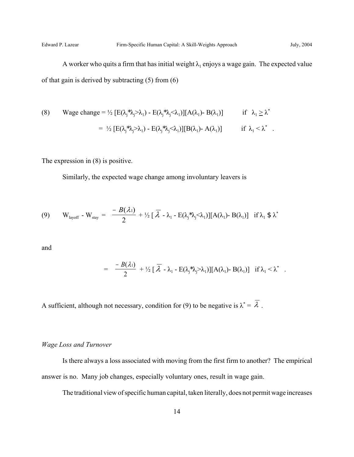A worker who quits a firm that has initial weight  $\lambda_1$  enjoys a wage gain. The expected value of that gain is derived by subtracting (5) from (6)

(8) Wage change = 
$$
\frac{1}{2} [E(\lambda_j^* \lambda_j > \lambda_1) - E(\lambda_j^* \lambda_j < \lambda_1)][A(\lambda_1) - B(\lambda_1)]
$$
 if  $\lambda_1 \ge \lambda^*$   
\n=  $\frac{1}{2} [E(\lambda_j^* \lambda_j > \lambda_1) - E(\lambda_j^* \lambda_j < \lambda_1)][B(\lambda_1) - A(\lambda_1)]$  if  $\lambda_1 < \lambda^*$ .

The expression in (8) is positive.

Similarly, the expected wage change among involuntary leavers is

(9) 
$$
W_{\text{layerff}} - W_{\text{stay}} = \frac{-B(\lambda_1)}{2} + \frac{1}{2} [\overline{\lambda} - \lambda_1 - E(\lambda_j^* \lambda_j < \lambda_1)][A(\lambda_1) - B(\lambda_1)] \text{ if } \lambda_1 \$ \lambda^* \}
$$

and

$$
= \frac{-B(\lambda_1)}{2} + \frac{1}{2} [\overline{\lambda} - \lambda_1 - E(\lambda_j^* \lambda_j > \lambda_1)][A(\lambda_1) - B(\lambda_1)] \text{ if } \lambda_1 < \lambda^*.
$$

A sufficient, although not necessary, condition for (9) to be negative is  $\lambda^* = \lambda$ .

## *Wage Loss and Turnover*

Is there always a loss associated with moving from the first firm to another? The empirical answer is no. Many job changes, especially voluntary ones, result in wage gain.

The traditional view of specific human capital, taken literally, does not permit wage increases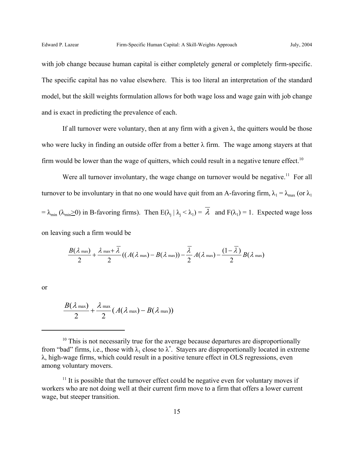with job change because human capital is either completely general or completely firm-specific. The specific capital has no value elsewhere. This is too literal an interpretation of the standard model, but the skill weights formulation allows for both wage loss and wage gain with job change and is exact in predicting the prevalence of each.

If all turnover were voluntary, then at any firm with a given  $\lambda$ , the quitters would be those who were lucky in finding an outside offer from a better  $\lambda$  firm. The wage among stayers at that firm would be lower than the wage of quitters, which could result in a negative tenure effect.<sup>10</sup>

Were all turnover involuntary, the wage change on turnover would be negative.<sup>11</sup> For all turnover to be involuntary in that no one would have quit from an A-favoring firm,  $\lambda_1 = \lambda_{\text{max}}$  (or  $\lambda_1$ )  $= \lambda_{\min} (\lambda_{\min} \ge 0)$  in B-favoring firms). Then  $E(\lambda_j | \lambda_j < \lambda_1) = \lambda$  and  $F(\lambda_1) = 1$ . Expected wage loss on leaving such a firm would be

$$
\frac{B(\lambda \max)}{2} + \frac{\lambda \max + \overline{\lambda}}{2} ((A(\lambda \max) - B(\lambda \max)) - \frac{\overline{\lambda}}{2} A(\lambda \max) - \frac{(1 - \overline{\lambda})}{2} B(\lambda \max))
$$

or

$$
\frac{B(\lambda \max)}{2} + \frac{\lambda \max}{2} (A(\lambda \max) - B(\lambda \max))
$$

 $10$  This is not necessarily true for the average because departures are disproportionally from "bad" firms, i.e., those with  $\lambda_1$  close to  $\lambda^*$ . Stayers are disproportionally located in extreme λ, high-wage firms, which could result in a positive tenure effect in OLS regressions, even among voluntary movers.

 $11$  It is possible that the turnover effect could be negative even for voluntary moves if workers who are not doing well at their current firm move to a firm that offers a lower current wage, but steeper transition.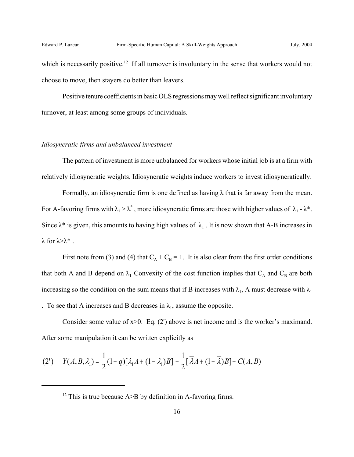which is necessarily positive.<sup>12</sup> If all turnover is involuntary in the sense that workers would not choose to move, then stayers do better than leavers.

Positive tenure coefficients in basic OLS regressions may well reflect significant involuntary turnover, at least among some groups of individuals.

#### *Idiosyncratic firms and unbalanced investment*

The pattern of investment is more unbalanced for workers whose initial job is at a firm with relatively idiosyncratic weights. Idiosyncratic weights induce workers to invest idiosyncratically.

Formally, an idiosyncratic firm is one defined as having  $\lambda$  that is far away from the mean. For A-favoring firms with  $\lambda_1 > \lambda^*$ , more idiosyncratic firms are those with higher values of  $\lambda_1 - \lambda^*$ . Since  $\lambda^*$  is given, this amounts to having high values of  $\lambda_1$ . It is now shown that A-B increases in  $\lambda$  for  $\lambda > \lambda^*$ .

First note from (3) and (4) that  $C_A + C_B = 1$ . It is also clear from the first order conditions that both A and B depend on  $\lambda_1$ . Convexity of the cost function implies that  $C_A$  and  $C_B$  are both increasing so the condition on the sum means that if B increases with  $\lambda_1$ , A must decrease with  $\lambda_1$ . To see that A increases and B decreases in  $\lambda_1$ , assume the opposite.

Consider some value of  $x>0$ . Eq. (2') above is net income and is the worker's maximand. After some manipulation it can be written explicitly as

(2') 
$$
Y(A,B,\lambda_1) = \frac{1}{2}(1-q)[\lambda_1A + (1-\lambda_1)B] + \frac{1}{2}[\overline{\lambda}A + (1-\overline{\lambda})B] - C(A,B)
$$

<sup>&</sup>lt;sup>12</sup> This is true because  $A \geq B$  by definition in A-favoring firms.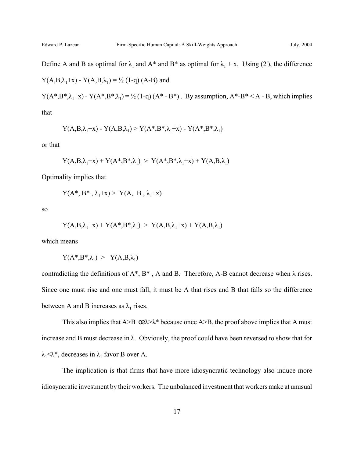Define A and B as optimal for  $\lambda_1$  and A\* and B\* as optimal for  $\lambda_1 + x$ . Using (2'), the difference

$$
Y(A,B,\lambda_1+x) - Y(A,B,\lambda_1) = \frac{1}{2} (1-q) (A-B)
$$
 and

Y( $A^*,B^*,\lambda_1+x$ ) - Y( $A^*,B^*,\lambda_1$ ) = ½ (1-q)( $A^*-B^*$ ). By assumption,  $A^*-B^*$  < A - B, which implies

that

$$
Y(A,B,\lambda_1+x) - Y(A,B,\lambda_1) > Y(A^*,B^*,\lambda_1+x) - Y(A^*,B^*,\lambda_1)
$$

or that

$$
Y(A,B,\lambda_1+x) + Y(A^*,B^*,\lambda_1) > Y(A^*,B^*,\lambda_1+x) + Y(A,B,\lambda_1)
$$

Optimality implies that

$$
Y(A^*, B^*, \lambda_1+x) > Y(A, B, \lambda_1+x)
$$

so

$$
Y(A,B,\lambda_1+x) + Y(A^*,B^*,\lambda_1) > Y(A,B,\lambda_1+x) + Y(A,B,\lambda_1)
$$

which means

$$
Y(A^{\boldsymbol *},\!B^{\boldsymbol *}\!,\!\lambda_l)~\!>~Y(A,\!B\!,\!\lambda_l)
$$

contradicting the definitions of  $A^*$ ,  $B^*$ , A and B. Therefore, A-B cannot decrease when  $\lambda$  rises. Since one must rise and one must fall, it must be A that rises and B that falls so the difference between A and B increases as  $\lambda_1$  rises.

This also implies that A>B  $\text{ce}\lambda > \lambda^*$  because once A>B, the proof above implies that A must increase and B must decrease in  $\lambda$ . Obviously, the proof could have been reversed to show that for  $\lambda_1<\lambda^*$ , decreases in  $\lambda_1$  favor B over A.

The implication is that firms that have more idiosyncratic technology also induce more idiosyncratic investment by their workers. The unbalanced investment that workers make at unusual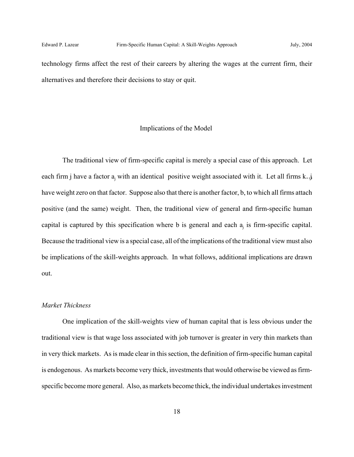technology firms affect the rest of their careers by altering the wages at the current firm, their alternatives and therefore their decisions to stay or quit.

#### Implications of the Model

The traditional view of firm-specific capital is merely a special case of this approach. Let each firm j have a factor  $a_j$  with an identical positive weight associated with it. Let all firms k..j have weight zero on that factor. Suppose also that there is another factor, b, to which all firms attach positive (and the same) weight. Then, the traditional view of general and firm-specific human capital is captured by this specification where b is general and each  $a_i$  is firm-specific capital. Because the traditional view is a special case, all of the implications of the traditional view must also be implications of the skill-weights approach. In what follows, additional implications are drawn out.

#### *Market Thickness*

One implication of the skill-weights view of human capital that is less obvious under the traditional view is that wage loss associated with job turnover is greater in very thin markets than in very thick markets. As is made clear in this section, the definition of firm-specific human capital is endogenous. As markets become very thick, investments that would otherwise be viewed as firmspecific become more general. Also, as markets become thick, the individual undertakes investment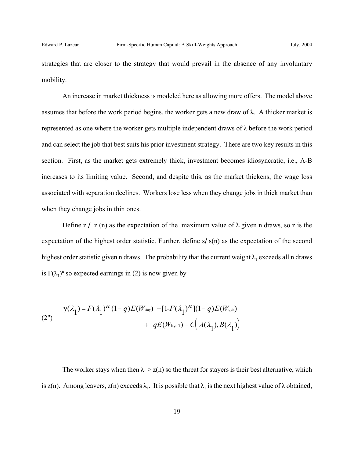strategies that are closer to the strategy that would prevail in the absence of any involuntary mobility.

An increase in market thickness is modeled here as allowing more offers. The model above assumes that before the work period begins, the worker gets a new draw of  $\lambda$ . A thicker market is represented as one where the worker gets multiple independent draws of λ before the work period and can select the job that best suits his prior investment strategy. There are two key results in this section. First, as the market gets extremely thick, investment becomes idiosyncratic, i.e., A-B increases to its limiting value. Second, and despite this, as the market thickens, the wage loss associated with separation declines. Workers lose less when they change jobs in thick market than when they change jobs in thin ones.

Define z / z (n) as the expectation of the maximum value of  $\lambda$  given n draws, so z is the expectation of the highest order statistic. Further, define s/s(n) as the expectation of the second highest order statistic given n draws. The probability that the current weight  $\lambda_1$  exceeds all n draws is  $F(\lambda_1)^n$  so expected earnings in (2) is now given by

(2") 
$$
y(\lambda_1) = F(\lambda_1)^n (1-q) E(W_{\text{stay}}) + [1 - F(\lambda_1)^n](1-q) E(W_{\text{qui}}) + q E(W_{\text{layoff}}) - C(A(\lambda_1), B(\lambda_1))
$$

The worker stays when then  $\lambda_1$  > z(n) so the threat for stayers is their best alternative, which is z(n). Among leavers, z(n) exceeds  $\lambda_1$ . It is possible that  $\lambda_1$  is the next highest value of  $\lambda$  obtained,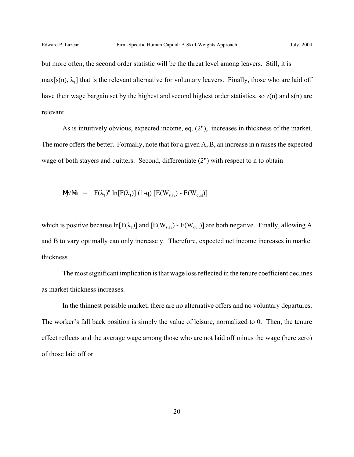but more often, the second order statistic will be the threat level among leavers. Still, it is  $max[s(n), \lambda_1]$  that is the relevant alternative for voluntary leavers. Finally, those who are laid off have their wage bargain set by the highest and second highest order statistics, so  $z(n)$  and  $s(n)$  are relevant.

As is intuitively obvious, expected income, eq. (2"), increases in thickness of the market. The more offers the better. Formally, note that for a given A, B, an increase in n raises the expected wage of both stayers and quitters. Second, differentiate (2") with respect to n to obtain

$$
\mathbf{M} / \mathbf{M} = \mathbf{F}(\lambda_1)^n \ln[\mathbf{F}(\lambda_1)] (1-q) [\mathbf{E}(W_{\text{stay}}) - \mathbf{E}(W_{\text{quit}})]
$$

which is positive because  $ln[F(\lambda_1)]$  and  $[E(W_{\text{stay}}) - E(W_{\text{quit}})]$  are both negative. Finally, allowing A and B to vary optimally can only increase y. Therefore, expected net income increases in market thickness.

The most significant implication is that wage loss reflected in the tenure coefficient declines as market thickness increases.

In the thinnest possible market, there are no alternative offers and no voluntary departures. The worker's fall back position is simply the value of leisure, normalized to 0. Then, the tenure effect reflects and the average wage among those who are not laid off minus the wage (here zero) of those laid off or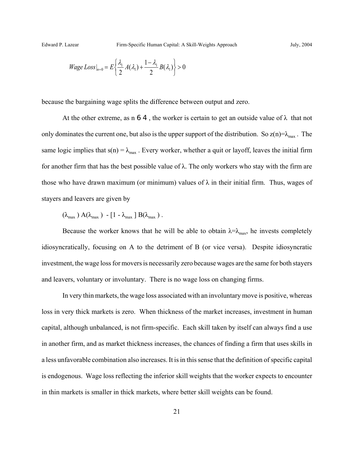$$
Wage Loss|_{n=0} = E\left\{\frac{\lambda_1}{2}A(\lambda_1) + \frac{1-\lambda_1}{2}B(\lambda_1)\right\} > 0
$$

because the bargaining wage splits the difference between output and zero.

At the other extreme, as n 6 4, the worker is certain to get an outside value of  $\lambda$  that not only dominates the current one, but also is the upper support of the distribution. So  $z(n)=\lambda_{max}$ . The same logic implies that  $s(n) = \lambda_{max}$ . Every worker, whether a quit or layoff, leaves the initial firm for another firm that has the best possible value of λ. The only workers who stay with the firm are those who have drawn maximum (or minimum) values of  $\lambda$  in their initial firm. Thus, wages of stayers and leavers are given by

$$
(\lambda_{\max} A(\lambda_{\max}) - [1 - \lambda_{\max} B(\lambda_{\max})).
$$

Because the worker knows that he will be able to obtain  $\lambda = \lambda_{\text{max}}$ , he invests completely idiosyncratically, focusing on A to the detriment of B (or vice versa). Despite idiosyncratic investment, the wage loss for movers is necessarily zero because wages are the same for both stayers and leavers, voluntary or involuntary. There is no wage loss on changing firms.

In very thin markets, the wage loss associated with an involuntary move is positive, whereas loss in very thick markets is zero. When thickness of the market increases, investment in human capital, although unbalanced, is not firm-specific. Each skill taken by itself can always find a use in another firm, and as market thickness increases, the chances of finding a firm that uses skills in a less unfavorable combination also increases. It is in this sense that the definition of specific capital is endogenous. Wage loss reflecting the inferior skill weights that the worker expects to encounter in thin markets is smaller in thick markets, where better skill weights can be found.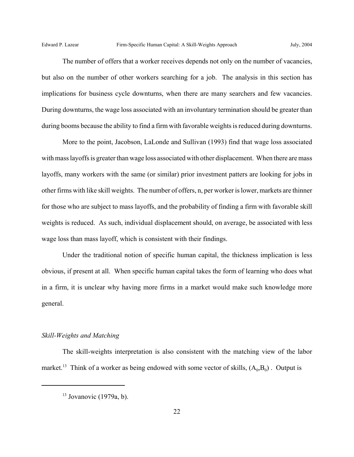The number of offers that a worker receives depends not only on the number of vacancies, but also on the number of other workers searching for a job. The analysis in this section has implications for business cycle downturns, when there are many searchers and few vacancies. During downturns, the wage loss associated with an involuntary termination should be greater than during booms because the ability to find a firm with favorable weights is reduced during downturns.

More to the point, Jacobson, LaLonde and Sullivan (1993) find that wage loss associated with mass layoffs is greater than wage loss associated with other displacement. When there are mass layoffs, many workers with the same (or similar) prior investment patters are looking for jobs in other firms with like skill weights. The number of offers, n, per worker is lower, markets are thinner for those who are subject to mass layoffs, and the probability of finding a firm with favorable skill weights is reduced. As such, individual displacement should, on average, be associated with less wage loss than mass layoff, which is consistent with their findings.

Under the traditional notion of specific human capital, the thickness implication is less obvious, if present at all. When specific human capital takes the form of learning who does what in a firm, it is unclear why having more firms in a market would make such knowledge more general.

#### *Skill-Weights and Matching*

The skill-weights interpretation is also consistent with the matching view of the labor market.<sup>13</sup> Think of a worker as being endowed with some vector of skills,  $(A_0, B_0)$ . Output is

 $13$  Jovanovic (1979a, b).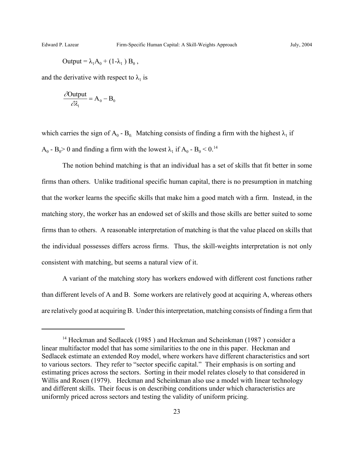$$
Output = \lambda_1 A_0 + (1 - \lambda_1) B_0,
$$

and the derivative with respect to  $\lambda_1$  is

$$
\frac{\partial Output}{\partial \lambda_1} = A_0 - B_0
$$

which carries the sign of A<sub>0</sub> - B<sub>0</sub>. Matching consists of finding a firm with the highest  $\lambda_1$  if  $A_0 - B_0 > 0$  and finding a firm with the lowest  $\lambda_1$  if  $A_0 - B_0 < 0$ .<sup>14</sup>

The notion behind matching is that an individual has a set of skills that fit better in some firms than others. Unlike traditional specific human capital, there is no presumption in matching that the worker learns the specific skills that make him a good match with a firm. Instead, in the matching story, the worker has an endowed set of skills and those skills are better suited to some firms than to others. A reasonable interpretation of matching is that the value placed on skills that the individual possesses differs across firms. Thus, the skill-weights interpretation is not only consistent with matching, but seems a natural view of it.

A variant of the matching story has workers endowed with different cost functions rather than different levels of A and B. Some workers are relatively good at acquiring A, whereas others are relatively good at acquiring B. Under this interpretation, matching consists of finding a firm that

<sup>&</sup>lt;sup>14</sup> Heckman and Sedlacek (1985) and Heckman and Scheinkman (1987) consider a linear multifactor model that has some similarities to the one in this paper. Heckman and Sedlacek estimate an extended Roy model, where workers have different characteristics and sort to various sectors. They refer to "sector specific capital." Their emphasis is on sorting and estimating prices across the sectors. Sorting in their model relates closely to that considered in Willis and Rosen (1979). Heckman and Scheinkman also use a model with linear technology and different skills. Their focus is on describing conditions under which characteristics are uniformly priced across sectors and testing the validity of uniform pricing.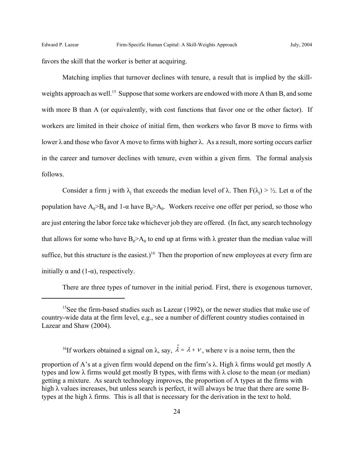favors the skill that the worker is better at acquiring.

Matching implies that turnover declines with tenure, a result that is implied by the skillweights approach as well.<sup>15</sup> Suppose that some workers are endowed with more A than B, and some with more B than A (or equivalently, with cost functions that favor one or the other factor). If workers are limited in their choice of initial firm, then workers who favor B move to firms with lower λ and those who favor A move to firms with higher λ. As a result, more sorting occurs earlier in the career and turnover declines with tenure, even within a given firm. The formal analysis follows.

Consider a firm j with  $\lambda_j$  that exceeds the median level of  $\lambda$ . Then  $F(\lambda_j) > \frac{1}{2}$ . Let  $\alpha$  of the population have  $A_0 > B_0$  and 1- $\alpha$  have  $B_0 > A_0$ . Workers receive one offer per period, so those who are just entering the labor force take whichever job they are offered. (In fact, any search technology that allows for some who have  $B_0 > A_0$  to end up at firms with  $\lambda$  greater than the median value will suffice, but this structure is the easiest.)<sup>16</sup> Then the proportion of new employees at every firm are initially  $\alpha$  and (1-α), respectively.

There are three types of turnover in the initial period. First, there is exogenous turnover,

<sup>&</sup>lt;sup>15</sup>See the firm-based studies such as Lazear (1992), or the newer studies that make use of country-wide data at the firm level, e.g., see a number of different country studies contained in Lazear and Shaw (2004).

<sup>&</sup>lt;sup>16</sup>If workers obtained a signal on  $\lambda$ , say,  $\hat{\lambda} = \lambda + \nu$ , where v is a noise term, then the

proportion of A's at a given firm would depend on the firm's  $\lambda$ . High  $\lambda$  firms would get mostly A types and low  $\lambda$  firms would get mostly B types, with firms with  $\lambda$  close to the mean (or median) getting a mixture. As search technology improves, the proportion of A types at the firms with high λ values increases, but unless search is perfect, it will always be true that there are some Btypes at the high  $\lambda$  firms. This is all that is necessary for the derivation in the text to hold.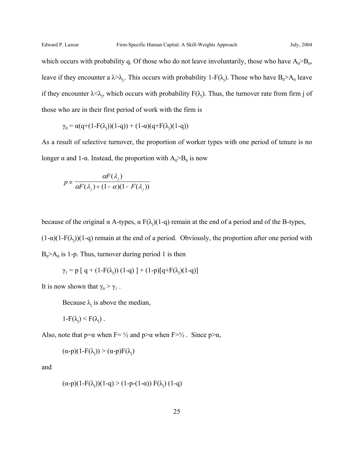which occurs with probability q. Of those who do not leave involuntarily, those who have  $A_0 > B_0$ , leave if they encounter a  $\lambda > \lambda_j$ . This occurs with probability 1-F( $\lambda_j$ ). Those who have B<sub>0</sub>>A<sub>0</sub> leave if they encounter  $\lambda < \lambda_j$ , which occurs with probability  $F(\lambda_j)$ . Thus, the turnover rate from firm j of those who are in their first period of work with the firm is

$$
\gamma_0 = \alpha(q + (1 - F(\lambda_j))(1 - q)) + (1 - \alpha)(q + F(\lambda_j)(1 - q))
$$

As a result of selective turnover, the proportion of worker types with one period of tenure is no longer  $\alpha$  and 1- $\alpha$ . Instead, the proportion with  $A_0 > B_0$  is now

$$
p \equiv \frac{\alpha F(\lambda_j)}{\alpha F(\lambda_j) + (1 - \alpha)(1 - F(\lambda_j))}
$$

because of the original  $\alpha$  A-types,  $\alpha F(\lambda_j)(1-q)$  remain at the end of a period and of the B-types,  $(1-\alpha)(1-F(\lambda_j))(1-q)$  remain at the end of a period. Obviously, the proportion after one period with  $B_0$ >A<sub>0</sub> is 1-p. Thus, turnover during period 1 is then

$$
\gamma_1 = p [ q + (1 - F(\lambda_i)) (1 - q) ] + (1 - p) [ q + F(\lambda_i) (1 - q) ]
$$

It is now shown that  $\gamma_0 > \gamma_1$ .

Because  $\lambda_i$  is above the median,

$$
1-F(\lambda_j)\leq F(\lambda_j)\;.
$$

Also, note that  $p=a$  when  $F=$  1/2 and  $p>a$  when  $F>$  1/2. Since  $p>a$ ,

$$
(\alpha-p)(1-F(\lambda_j)) \geq (\alpha-p)F(\lambda_j)
$$

and

$$
(\alpha \text{-} p)(1-F(\lambda_j))(1-q) > (1-p-(1-\alpha)) F(\lambda_j) (1-q)
$$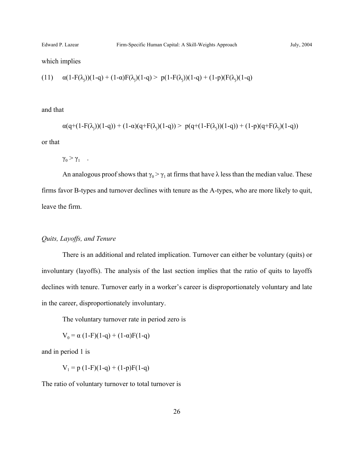which implies

$$
(11) \quad \alpha(1-F(\lambda_j))(1-q) + (1-\alpha)F(\lambda_j)(1-q) > p(1-F(\lambda_j))(1-q) + (1-p)(F(\lambda_j)(1-q)
$$

and that

$$
\alpha(q+(1-F(\lambda_j))(1-q)) + (1-\alpha)(q+F(\lambda_j)(1-q)) > p(q+(1-F(\lambda_j))(1-q)) + (1-p)(q+F(\lambda_j)(1-q))
$$

or that

 $\gamma_0 > \gamma_1$  .

An analogous proof shows that  $\gamma_0 > \gamma_1$  at firms that have  $\lambda$  less than the median value. These firms favor B-types and turnover declines with tenure as the A-types, who are more likely to quit, leave the firm.

#### *Quits, Layoffs, and Tenure*

There is an additional and related implication. Turnover can either be voluntary (quits) or involuntary (layoffs). The analysis of the last section implies that the ratio of quits to layoffs declines with tenure. Turnover early in a worker's career is disproportionately voluntary and late in the career, disproportionately involuntary.

The voluntary turnover rate in period zero is

$$
V_0 = \alpha (1 - F)(1 - q) + (1 - \alpha)F(1 - q)
$$

and in period 1 is

 $V_1 = p (1-F)(1-q) + (1-p)F(1-q)$ 

The ratio of voluntary turnover to total turnover is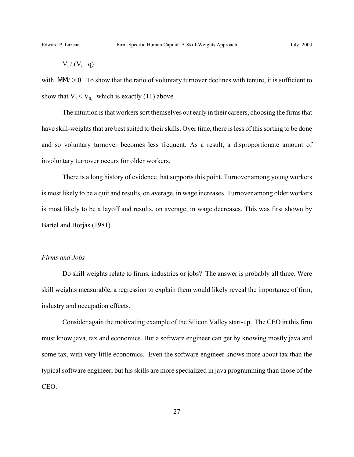$$
V_t / (V_t + q)
$$

with  $\text{MW} > 0$ . To show that the ratio of voluntary turnover declines with tenure, it is sufficient to show that  $V_1 < V_0$  which is exactly (11) above.

The intuition is that workers sort themselves out early in their careers, choosing the firms that have skill-weights that are best suited to their skills. Over time, there is less of this sorting to be done and so voluntary turnover becomes less frequent. As a result, a disproportionate amount of involuntary turnover occurs for older workers.

There is a long history of evidence that supports this point. Turnover among young workers is most likely to be a quit and results, on average, in wage increases. Turnover among older workers is most likely to be a layoff and results, on average, in wage decreases. This was first shown by Bartel and Borjas (1981).

## *Firms and Jobs*

Do skill weights relate to firms, industries or jobs? The answer is probably all three. Were skill weights measurable, a regression to explain them would likely reveal the importance of firm, industry and occupation effects.

Consider again the motivating example of the Silicon Valley start-up. The CEO in this firm must know java, tax and economics. But a software engineer can get by knowing mostly java and some tax, with very little economics. Even the software engineer knows more about tax than the typical software engineer, but his skills are more specialized in java programming than those of the CEO.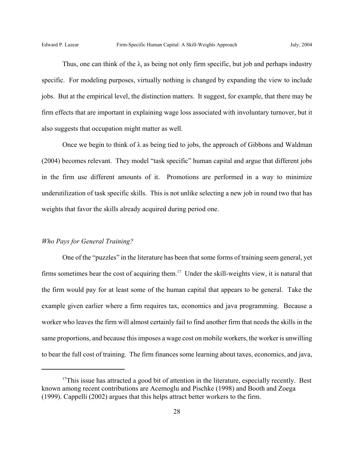Thus, one can think of the  $\lambda_i$  as being not only firm specific, but job and perhaps industry specific. For modeling purposes, virtually nothing is changed by expanding the view to include jobs. But at the empirical level, the distinction matters. It suggest, for example, that there may be firm effects that are important in explaining wage loss associated with involuntary turnover, but it also suggests that occupation might matter as well.

Once we begin to think of  $\lambda$  as being tied to jobs, the approach of Gibbons and Waldman (2004) becomes relevant. They model "task specific" human capital and argue that different jobs in the firm use different amounts of it. Promotions are performed in a way to minimize underutilization of task specific skills. This is not unlike selecting a new job in round two that has weights that favor the skills already acquired during period one.

## *Who Pays for General Training?*

One of the "puzzles" in the literature has been that some forms of training seem general, yet firms sometimes bear the cost of acquiring them.<sup>17</sup> Under the skill-weights view, it is natural that the firm would pay for at least some of the human capital that appears to be general. Take the example given earlier where a firm requires tax, economics and java programming. Because a worker who leaves the firm will almost certainly fail to find another firm that needs the skills in the same proportions, and because this imposes a wage cost on mobile workers, the worker is unwilling to bear the full cost of training. The firm finances some learning about taxes, economics, and java,

 $17$ This issue has attracted a good bit of attention in the literature, especially recently. Best known among recent contributions are Acemoglu and Pischke (1998) and Booth and Zoega (1999). Cappelli (2002) argues that this helps attract better workers to the firm.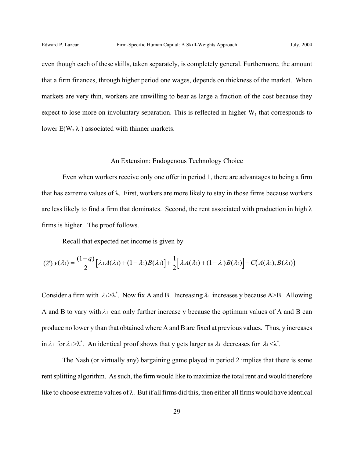even though each of these skills, taken separately, is completely general. Furthermore, the amount that a firm finances, through higher period one wages, depends on thickness of the market. When markets are very thin, workers are unwilling to bear as large a fraction of the cost because they expect to lose more on involuntary separation. This is reflected in higher  $W_1$  that corresponds to lower  $E(W_2|\lambda_1)$  associated with thinner markets.

#### An Extension: Endogenous Technology Choice

Even when workers receive only one offer in period 1, there are advantages to being a firm that has extreme values of  $\lambda$ . First, workers are more likely to stay in those firms because workers are less likely to find a firm that dominates. Second, the rent associated with production in high  $\lambda$ firms is higher. The proof follows.

Recall that expected net income is given by

$$
(2')\,y(\lambda_1)=\frac{(1-q)}{2}\big[\lambda_1A(\lambda_1)+(1-\lambda_1)B(\lambda_1)\big]+\frac{1}{2}\big[\overline{\lambda}A(\lambda_1)+(1-\overline{\lambda})B(\lambda_1)\big]-C\big(A(\lambda_1),B(\lambda_1)\big)
$$

Consider a firm with  $\lambda_1 > \lambda^*$ . Now fix A and B. Increasing  $\lambda_1$  increases y because A>B. Allowing A and B to vary with  $\lambda_1$  can only further increase y because the optimum values of A and B can produce no lower y than that obtained where A and B are fixed at previous values. Thus, y increases in  $\lambda_1$  for  $\lambda_1 > \lambda^*$ . An identical proof shows that y gets larger as  $\lambda_1$  decreases for  $\lambda_1 < \lambda^*$ .

The Nash (or virtually any) bargaining game played in period 2 implies that there is some rent splitting algorithm. As such, the firm would like to maximize the total rent and would therefore like to choose extreme values of  $\lambda$ . But if all firms did this, then either all firms would have identical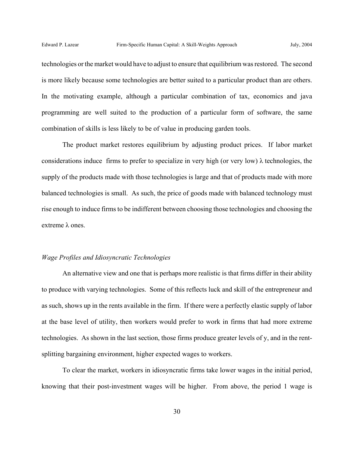technologies or the market would have to adjust to ensure that equilibrium was restored. The second is more likely because some technologies are better suited to a particular product than are others. In the motivating example, although a particular combination of tax, economics and java programming are well suited to the production of a particular form of software, the same combination of skills is less likely to be of value in producing garden tools.

The product market restores equilibrium by adjusting product prices. If labor market considerations induce firms to prefer to specialize in very high (or very low)  $\lambda$  technologies, the supply of the products made with those technologies is large and that of products made with more balanced technologies is small. As such, the price of goods made with balanced technology must rise enough to induce firms to be indifferent between choosing those technologies and choosing the extreme λ ones.

#### *Wage Profiles and Idiosyncratic Technologies*

An alternative view and one that is perhaps more realistic is that firms differ in their ability to produce with varying technologies. Some of this reflects luck and skill of the entrepreneur and as such, shows up in the rents available in the firm. If there were a perfectly elastic supply of labor at the base level of utility, then workers would prefer to work in firms that had more extreme technologies. As shown in the last section, those firms produce greater levels of y, and in the rentsplitting bargaining environment, higher expected wages to workers.

To clear the market, workers in idiosyncratic firms take lower wages in the initial period, knowing that their post-investment wages will be higher. From above, the period 1 wage is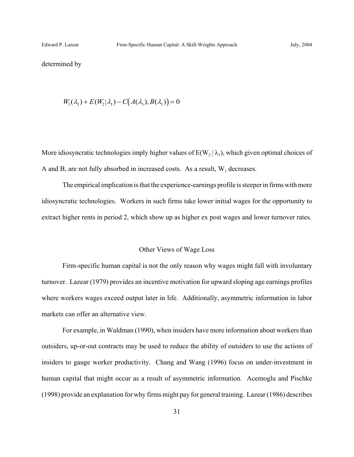determined by

$$
W_1(\lambda_1) + E(W_2|\lambda_1) - C(A(\lambda_1), B(\lambda_1)) = 0
$$

More idiosyncratic technologies imply higher values of  $E(W_2 | \lambda_1)$ , which given optimal choices of A and B, are not fully absorbed in increased costs. As a result,  $W_1$  decreases.

The empirical implication is that the experience-earnings profile is steeper in firms with more idiosyncratic technologies. Workers in such firms take lower initial wages for the opportunity to extract higher rents in period 2, which show up as higher ex post wages and lower turnover rates.

#### Other Views of Wage Loss

Firm-specific human capital is not the only reason why wages might fall with involuntary turnover. Lazear (1979) provides an incentive motivation for upward sloping age earnings profiles where workers wages exceed output later in life. Additionally, asymmetric information in labor markets can offer an alternative view.

For example, in Waldman (1990), when insiders have more information about workers than outsiders, up-or-out contracts may be used to reduce the ability of outsiders to use the actions of insiders to gauge worker productivity. Chang and Wang (1996) focus on under-investment in human capital that might occur as a result of asymmetric information. Acemoglu and Pischke (1998) provide an explanation for why firms might pay for general training. Lazear (1986) describes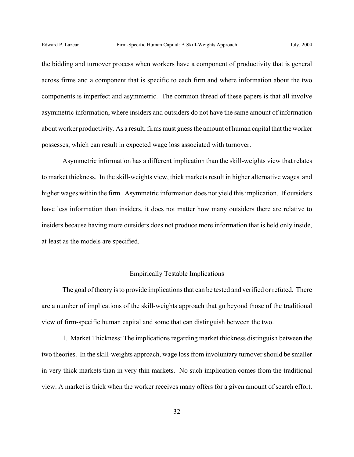the bidding and turnover process when workers have a component of productivity that is general across firms and a component that is specific to each firm and where information about the two components is imperfect and asymmetric. The common thread of these papers is that all involve asymmetric information, where insiders and outsiders do not have the same amount of information about worker productivity. As a result, firms must guess the amount of human capital that the worker possesses, which can result in expected wage loss associated with turnover.

Asymmetric information has a different implication than the skill-weights view that relates to market thickness. In the skill-weights view, thick markets result in higher alternative wages and higher wages within the firm. Asymmetric information does not yield this implication. If outsiders have less information than insiders, it does not matter how many outsiders there are relative to insiders because having more outsiders does not produce more information that is held only inside, at least as the models are specified.

#### Empirically Testable Implications

The goal of theory is to provide implications that can be tested and verified or refuted. There are a number of implications of the skill-weights approach that go beyond those of the traditional view of firm-specific human capital and some that can distinguish between the two.

1. Market Thickness: The implications regarding market thickness distinguish between the two theories. In the skill-weights approach, wage loss from involuntary turnover should be smaller in very thick markets than in very thin markets. No such implication comes from the traditional view. A market is thick when the worker receives many offers for a given amount of search effort.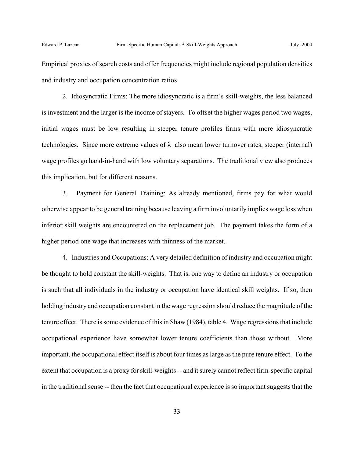Empirical proxies of search costs and offer frequencies might include regional population densities and industry and occupation concentration ratios.

2. Idiosyncratic Firms: The more idiosyncratic is a firm's skill-weights, the less balanced is investment and the larger is the income of stayers. To offset the higher wages period two wages, initial wages must be low resulting in steeper tenure profiles firms with more idiosyncratic technologies. Since more extreme values of  $\lambda_1$  also mean lower turnover rates, steeper (internal) wage profiles go hand-in-hand with low voluntary separations. The traditional view also produces this implication, but for different reasons.

3. Payment for General Training: As already mentioned, firms pay for what would otherwise appear to be general training because leaving a firm involuntarily implies wage loss when inferior skill weights are encountered on the replacement job. The payment takes the form of a higher period one wage that increases with thinness of the market.

4. Industries and Occupations: A very detailed definition of industry and occupation might be thought to hold constant the skill-weights. That is, one way to define an industry or occupation is such that all individuals in the industry or occupation have identical skill weights. If so, then holding industry and occupation constant in the wage regression should reduce the magnitude of the tenure effect. There is some evidence of this in Shaw (1984), table 4. Wage regressions that include occupational experience have somewhat lower tenure coefficients than those without. More important, the occupational effect itself is about four times as large as the pure tenure effect. To the extent that occupation is a proxy for skill-weights -- and it surely cannot reflect firm-specific capital in the traditional sense -- then the fact that occupational experience is so important suggests that the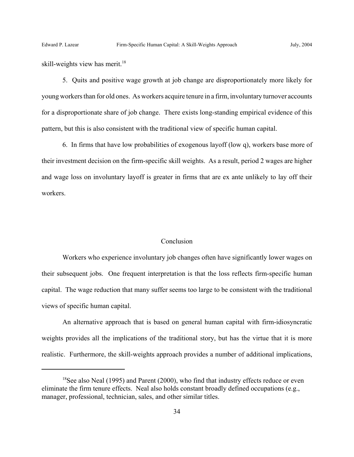skill-weights view has merit.<sup>18</sup>

5. Quits and positive wage growth at job change are disproportionately more likely for young workers than for old ones. As workers acquire tenure in a firm, involuntary turnover accounts for a disproportionate share of job change. There exists long-standing empirical evidence of this pattern, but this is also consistent with the traditional view of specific human capital.

6. In firms that have low probabilities of exogenous layoff (low q), workers base more of their investment decision on the firm-specific skill weights. As a result, period 2 wages are higher and wage loss on involuntary layoff is greater in firms that are ex ante unlikely to lay off their workers.

#### Conclusion

Workers who experience involuntary job changes often have significantly lower wages on their subsequent jobs. One frequent interpretation is that the loss reflects firm-specific human capital. The wage reduction that many suffer seems too large to be consistent with the traditional views of specific human capital.

An alternative approach that is based on general human capital with firm-idiosyncratic weights provides all the implications of the traditional story, but has the virtue that it is more realistic. Furthermore, the skill-weights approach provides a number of additional implications,

 $18$ See also Neal (1995) and Parent (2000), who find that industry effects reduce or even eliminate the firm tenure effects. Neal also holds constant broadly defined occupations (e.g., manager, professional, technician, sales, and other similar titles.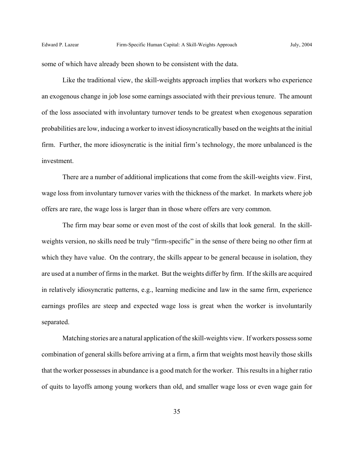some of which have already been shown to be consistent with the data.

Like the traditional view, the skill-weights approach implies that workers who experience an exogenous change in job lose some earnings associated with their previous tenure. The amount of the loss associated with involuntary turnover tends to be greatest when exogenous separation probabilities are low, inducing a worker to invest idiosyncratically based on the weights at the initial firm. Further, the more idiosyncratic is the initial firm's technology, the more unbalanced is the investment.

There are a number of additional implications that come from the skill-weights view. First, wage loss from involuntary turnover varies with the thickness of the market. In markets where job offers are rare, the wage loss is larger than in those where offers are very common.

The firm may bear some or even most of the cost of skills that look general. In the skillweights version, no skills need be truly "firm-specific" in the sense of there being no other firm at which they have value. On the contrary, the skills appear to be general because in isolation, they are used at a number of firms in the market. But the weights differ by firm. If the skills are acquired in relatively idiosyncratic patterns, e.g., learning medicine and law in the same firm, experience earnings profiles are steep and expected wage loss is great when the worker is involuntarily separated.

Matching stories are a natural application of the skill-weights view. If workers possess some combination of general skills before arriving at a firm, a firm that weights most heavily those skills that the worker possesses in abundance is a good match for the worker. This results in a higher ratio of quits to layoffs among young workers than old, and smaller wage loss or even wage gain for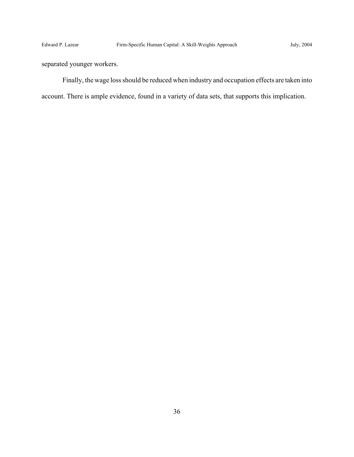separated younger workers.

Finally, the wage loss should be reduced when industry and occupation effects are taken into account. There is ample evidence, found in a variety of data sets, that supports this implication.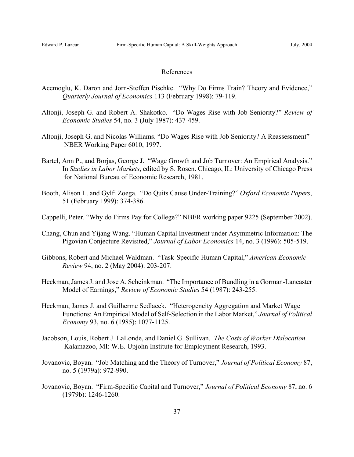#### References

- Acemoglu, K. Daron and Jorn-Steffen Pischke. "Why Do Firms Train? Theory and Evidence," *Quarterly Journal of Economics* 113 (February 1998): 79-119.
- Altonji, Joseph G. and Robert A. Shakotko. "Do Wages Rise with Job Seniority?" *Review of Economic Studies* 54, no. 3 (July 1987): 437-459.
- Altonji, Joseph G. and Nicolas Williams. "Do Wages Rise with Job Seniority? A Reassessment" NBER Working Paper 6010, 1997.
- Bartel, Ann P., and Borjas, George J. "Wage Growth and Job Turnover: An Empirical Analysis." In *Studies in Labor Markets*, edited by S. Rosen. Chicago, IL: University of Chicago Press for National Bureau of Economic Research, 1981.
- Booth, Alison L. and Gylfi Zoega. "Do Quits Cause Under-Training?" *Oxford Economic Papers*, 51 (February 1999): 374-386.
- Cappelli, Peter. "Why do Firms Pay for College?" NBER working paper 9225 (September 2002).
- Chang, Chun and Yijang Wang. "Human Capital Investment under Asymmetric Information: The Pigovian Conjecture Revisited," *Journal of Labor Economics* 14, no. 3 (1996): 505-519.
- Gibbons, Robert and Michael Waldman. "Task-Specific Human Capital," *American Economic Review* 94, no. 2 (May 2004): 203-207.
- Heckman, James J. and Jose A. Scheinkman. "The Importance of Bundling in a Gorman-Lancaster Model of Earnings," *Review of Economic Studies* 54 (1987): 243-255.
- Heckman, James J. and Guilherme Sedlacek. "Heterogeneity Aggregation and Market Wage Functions: An Empirical Model of Self-Selection in the Labor Market," *Journal of Political Economy* 93, no. 6 (1985): 1077-1125.
- Jacobson, Louis, Robert J. LaLonde, and Daniel G. Sullivan. *The Costs of Worker Dislocation.* Kalamazoo, MI: W.E. Upjohn Institute for Employment Research, 1993.
- Jovanovic, Boyan. "Job Matching and the Theory of Turnover," *Journal of Political Economy* 87, no. 5 (1979a): 972-990.
- Jovanovic, Boyan. "Firm-Specific Capital and Turnover," *Journal of Political Economy* 87, no. 6 (1979b): 1246-1260.